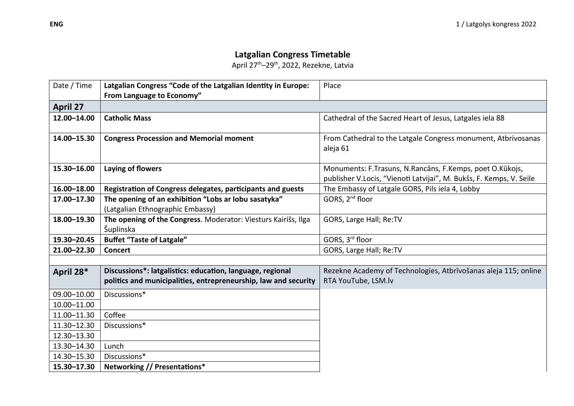## **Latgalian Congress Timetable**

April 27th–29th, 2022, Rezekne, Latvia

| Date / Time     | Latgalian Congress "Code of the Latgalian Identity in Europe:                                                                | Place                                                                                                                           |  |
|-----------------|------------------------------------------------------------------------------------------------------------------------------|---------------------------------------------------------------------------------------------------------------------------------|--|
|                 | From Language to Economy"                                                                                                    |                                                                                                                                 |  |
| <b>April 27</b> |                                                                                                                              |                                                                                                                                 |  |
| 12.00-14.00     | <b>Catholic Mass</b>                                                                                                         | Cathedral of the Sacred Heart of Jesus, Latgales iela 88                                                                        |  |
| 14.00-15.30     | <b>Congress Procession and Memorial moment</b>                                                                               | From Cathedral to the Latgale Congress monument, Atbrivosanas<br>aleja 61                                                       |  |
| 15.30-16.00     | Laying of flowers                                                                                                            | Monuments: F.Trasuns, N.Rancāns, F.Kemps, poet O.Kūkojs,<br>publisher V.Locis, "Vienoti Latvijai", M. Bukšs, F. Kemps, V. Seile |  |
| 16.00-18.00     | Registration of Congress delegates, participants and guests                                                                  | The Embassy of Latgale GORS, Pils iela 4, Lobby                                                                                 |  |
| 17.00-17.30     | The opening of an exhibition "Lobs ar lobu sasatyka"                                                                         | GORS, 2 <sup>nd</sup> floor                                                                                                     |  |
|                 | (Latgalian Ethnographic Embassy)                                                                                             |                                                                                                                                 |  |
| 18.00-19.30     | The opening of the Congress. Moderator: Viesturs Kairišs, Ilga<br>Šuplinska                                                  | GORS, Large Hall; Re:TV                                                                                                         |  |
| 19.30-20.45     | <b>Buffet "Taste of Latgale"</b>                                                                                             | GORS, 3rd floor                                                                                                                 |  |
| 21.00-22.30     | <b>Concert</b>                                                                                                               | GORS, Large Hall; Re:TV                                                                                                         |  |
|                 |                                                                                                                              |                                                                                                                                 |  |
| April 28*       | Discussions*: latgalistics: education, language, regional<br>politics and municipalities, entrepreneurship, law and security | Rezekne Academy of Technologies, Atbrīvošanas aleja 115; online<br>RTA YouTube, LSM.lv                                          |  |
| 09.00-10.00     | Discussions*                                                                                                                 |                                                                                                                                 |  |
| 10.00-11.00     |                                                                                                                              |                                                                                                                                 |  |
| 11.00-11.30     | Coffee                                                                                                                       |                                                                                                                                 |  |
| 11.30-12.30     | Discussions*                                                                                                                 |                                                                                                                                 |  |
| 12.30-13.30     |                                                                                                                              |                                                                                                                                 |  |
| 13.30-14.30     | Lunch                                                                                                                        |                                                                                                                                 |  |
| 14.30-15.30     | Discussions*                                                                                                                 |                                                                                                                                 |  |
| 15.30-17.30     | Networking // Presentations*                                                                                                 |                                                                                                                                 |  |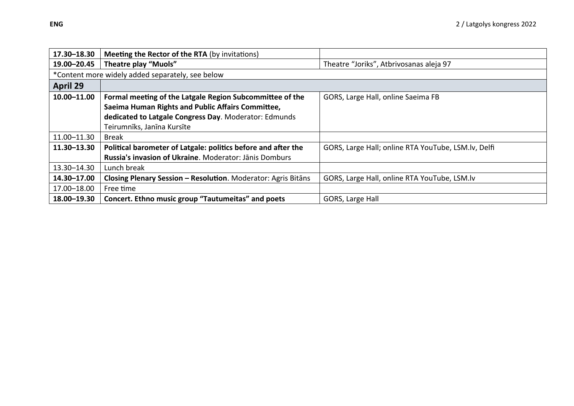| 17.30-18.30     | <b>Meeting the Rector of the RTA (by invitations)</b>         |                                                     |  |  |  |
|-----------------|---------------------------------------------------------------|-----------------------------------------------------|--|--|--|
| 19.00-20.45     | Theatre play "Muols"                                          | Theatre "Joriks", Atbrivosanas aleja 97             |  |  |  |
|                 | *Content more widely added separately, see below              |                                                     |  |  |  |
| <b>April 29</b> |                                                               |                                                     |  |  |  |
| 10.00-11.00     | Formal meeting of the Latgale Region Subcommittee of the      | GORS, Large Hall, online Saeima FB                  |  |  |  |
|                 | Saeima Human Rights and Public Affairs Committee,             |                                                     |  |  |  |
|                 | dedicated to Latgale Congress Day. Moderator: Edmunds         |                                                     |  |  |  |
|                 | Teirumnīks, Janīna Kursīte                                    |                                                     |  |  |  |
| 11.00-11.30     | <b>Break</b>                                                  |                                                     |  |  |  |
| 11.30-13.30     | Political barometer of Latgale: politics before and after the | GORS, Large Hall; online RTA YouTube, LSM.lv, Delfi |  |  |  |
|                 | Russia's invasion of Ukraine. Moderator: Jānis Domburs        |                                                     |  |  |  |
| 13.30-14.30     | Lunch break                                                   |                                                     |  |  |  |
| 14.30-17.00     | Closing Plenary Session - Resolution. Moderator: Agris Bitans | GORS, Large Hall, online RTA YouTube, LSM.lv        |  |  |  |
| 17.00-18.00     | Free time                                                     |                                                     |  |  |  |
| 18.00-19.30     | Concert. Ethno music group "Tautumeitas" and poets            | GORS, Large Hall                                    |  |  |  |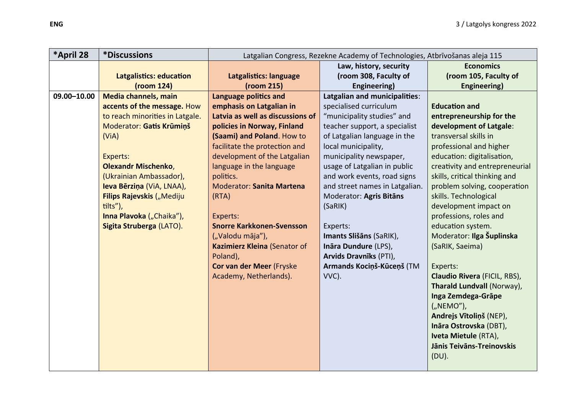| *April 28   | <i><b>*Discussions</b></i>      | Latgalian Congress, Rezekne Academy of Technologies, Atbrīvošanas aleja 115 |                                |                                |
|-------------|---------------------------------|-----------------------------------------------------------------------------|--------------------------------|--------------------------------|
|             |                                 |                                                                             | Law, history, security         | <b>Economics</b>               |
|             | <b>Latgalistics: education</b>  | Latgalistics: language                                                      | (room 308, Faculty of          | (room 105, Faculty of          |
|             | (room 124)                      | (room 215)                                                                  | Engineering)                   | <b>Engineering)</b>            |
| 09.00-10.00 | Media channels, main            | <b>Language politics and</b>                                                | Latgalian and municipalities:  |                                |
|             | accents of the message. How     | emphasis on Latgalian in                                                    | specialised curriculum         | <b>Education and</b>           |
|             | to reach minorities in Latgale. | Latvia as well as discussions of                                            | "municipality studies" and     | entrepreneurship for the       |
|             | Moderator: Gatis Krūmiņš        | policies in Norway, Finland                                                 | teacher support, a specialist  | development of Latgale:        |
|             | (ViA)                           | (Saami) and Poland. How to                                                  | of Latgalian language in the   | transversal skills in          |
|             |                                 | facilitate the protection and                                               | local municipality,            | professional and higher        |
|             | Experts:                        | development of the Latgalian                                                | municipality newspaper,        | education: digitalisation,     |
|             | <b>Olexandr Mischenko,</b>      | language in the language                                                    | usage of Latgalian in public   | creativity and entrepreneurial |
|             | (Ukrainian Ambassador),         | politics.                                                                   | and work events, road signs    | skills, critical thinking and  |
|             | Ieva Bērziņa (ViA, LNAA),       | <b>Moderator: Sanita Martena</b>                                            | and street names in Latgalian. | problem solving, cooperation   |
|             | Filips Rajevskis ("Mediju       | (RTA)                                                                       | Moderator: Agris Bitāns        | skills. Technological          |
|             | tilts"),                        |                                                                             | (SaRIK)                        | development impact on          |
|             | Inna Plavoka ("Chaika"),        | Experts:                                                                    |                                | professions, roles and         |
|             | Sigita Struberga (LATO).        | <b>Snorre Karkkonen-Svensson</b>                                            | Experts:                       | education system.              |
|             |                                 | ("Valodu māja"),                                                            | Imants Slišāns (SaRIK),        | Moderator: Ilga Šuplinska      |
|             |                                 | Kazimierz Kleina (Senator of                                                | Ināra Dundure (LPS),           | (SaRIK, Saeima)                |
|             |                                 | Poland),                                                                    | Arvids Dravnīks (PTI),         |                                |
|             |                                 | Cor van der Meer (Fryske                                                    | Armands Kociņš-Kūceņš (TM      | Experts:                       |
|             |                                 | Academy, Netherlands).                                                      | VVC).                          | Claudio Rivera (FICIL, RBS),   |
|             |                                 |                                                                             |                                | Tharald Lundvall (Norway),     |
|             |                                 |                                                                             |                                | Inga Zemdega-Grāpe             |
|             |                                 |                                                                             |                                | ("NEMO"),                      |
|             |                                 |                                                                             |                                | Andrejs Vītoliņš (NEP),        |
|             |                                 |                                                                             |                                | Ināra Ostrovska (DBT),         |
|             |                                 |                                                                             |                                | Iveta Mietule (RTA),           |
|             |                                 |                                                                             |                                | Jānis Teivāns-Treinovskis      |
|             |                                 |                                                                             |                                | (DU).                          |
|             |                                 |                                                                             |                                |                                |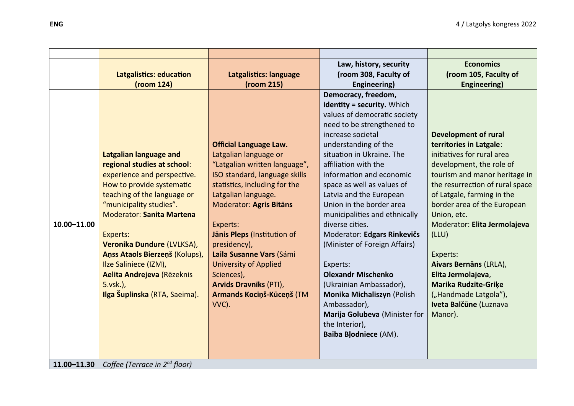|                 |                                    |                                | Law, history, security                            | <b>Economics</b>                |
|-----------------|------------------------------------|--------------------------------|---------------------------------------------------|---------------------------------|
|                 | <b>Latgalistics: education</b>     | Latgalistics: language         | (room 308, Faculty of                             | (room 105, Faculty of           |
|                 | (room 124)                         | (room 215)                     | Engineering)                                      | <b>Engineering)</b>             |
|                 |                                    |                                | Democracy, freedom,<br>identity = security. Which |                                 |
|                 |                                    |                                | values of democratic society                      |                                 |
|                 |                                    |                                | need to be strengthened to                        |                                 |
|                 |                                    |                                | increase societal                                 | <b>Development of rural</b>     |
|                 |                                    | <b>Official Language Law.</b>  | understanding of the                              | territories in Latgale:         |
|                 | <b>Latgalian language and</b>      | Latgalian language or          | situation in Ukraine. The                         | initiatives for rural area      |
|                 | regional studies at school:        | "Latgalian written language",  | affiliation with the                              | development, the role of        |
|                 | experience and perspective.        | ISO standard, language skills  | information and economic                          | tourism and manor heritage in   |
|                 | How to provide systematic          | statistics, including for the  | space as well as values of                        | the resurrection of rural space |
|                 | teaching of the language or        | Latgalian language.            | Latvia and the European                           | of Latgale, farming in the      |
|                 | "municipality studies".            | <b>Moderator: Agris Bitāns</b> | Union in the border area                          | border area of the European     |
|                 | <b>Moderator: Sanita Martena</b>   |                                | municipalities and ethnically                     | Union, etc.                     |
| 10.00-11.00     |                                    | Experts:                       | diverse cities.                                   | Moderator: Elita Jermolajeva    |
|                 | Experts:                           | Jānis Pleps (Institution of    | Moderator: Edgars Rinkevičs                       | (LLU)                           |
|                 | Veronika Dundure (LVLKSA),         | presidency),                   | (Minister of Foreign Affairs)                     |                                 |
|                 | Aņss Ataols Bierzeņš (Kolups),     | Laila Susanne Vars (Sámi       |                                                   | Experts:                        |
|                 | Ilze Saliniece (IZM),              | <b>University of Applied</b>   | Experts:                                          | Aivars Bernāns (LRLA),          |
|                 | Aelita Andrejeva (Rēzeknis         | Sciences),                     | <b>Olexandr Mischenko</b>                         | Elita Jermolajeva,              |
|                 | 5.vsk.),                           | <b>Arvids Dravnīks (PTI),</b>  | (Ukrainian Ambassador),                           | <b>Marika Rudzīte-Griķe</b>     |
|                 | Ilga Šuplinska (RTA, Saeima).      | Armands Kociņš-Kūceņš (TM      | Monika Michaliszyn (Polish                        | ("Handmade Latgola"),           |
|                 |                                    | VVC).                          | Ambassador),                                      | Iveta Balčūne (Luznava          |
|                 |                                    |                                | Marija Golubeva (Minister for                     | Manor).                         |
|                 |                                    |                                | the Interior),                                    |                                 |
|                 |                                    |                                | Baiba Blodniece (AM).                             |                                 |
|                 |                                    |                                |                                                   |                                 |
| $11.00 - 11.30$ | Coffee (Terrace in $2^{nd}$ floor) |                                |                                                   |                                 |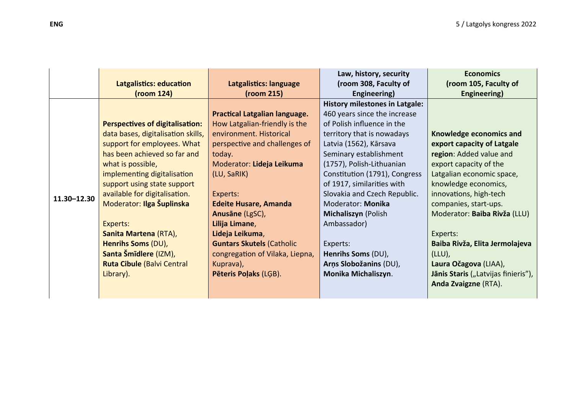|             | Latgalistics: education<br>(room 124)                                                                                                                                                                                                                                                        | Latgalistics: language<br>(room 215)                                                                                                                                                                                         | Law, history, security<br>(room 308, Faculty of<br>Engineering)                                                                                                                                                                                                                                                                        | <b>Economics</b><br>(room 105, Faculty of<br>Engineering)                                                                                                                                                          |
|-------------|----------------------------------------------------------------------------------------------------------------------------------------------------------------------------------------------------------------------------------------------------------------------------------------------|------------------------------------------------------------------------------------------------------------------------------------------------------------------------------------------------------------------------------|----------------------------------------------------------------------------------------------------------------------------------------------------------------------------------------------------------------------------------------------------------------------------------------------------------------------------------------|--------------------------------------------------------------------------------------------------------------------------------------------------------------------------------------------------------------------|
| 11.30-12.30 | <b>Perspectives of digitalisation:</b><br>data bases, digitalisation skills,<br>support for employees. What<br>has been achieved so far and<br>what is possible,<br>implementing digitalisation<br>support using state support<br>available for digitalisation.<br>Moderator: Ilga Šuplinska | Practical Latgalian language.<br>How Latgalian-friendly is the<br>environment. Historical<br>perspective and challenges of<br>today.<br>Moderator: Lideja Leikuma<br>(LU, SaRIK)<br>Experts:<br><b>Edeite Husare, Amanda</b> | <b>History milestones in Latgale:</b><br>460 years since the increase<br>of Polish influence in the<br>territory that is nowadays<br>Latvia (1562), Kārsava<br>Seminary establishment<br>(1757), Polish-Lithuanian<br>Constitution (1791), Congress<br>of 1917, similarities with<br>Slovakia and Czech Republic.<br>Moderator: Monika | Knowledge economics and<br>export capacity of Latgale<br>region: Added value and<br>export capacity of the<br>Latgalian economic space,<br>knowledge economics,<br>innovations, high-tech<br>companies, start-ups. |
|             | Experts:<br>Sanita Martena (RTA),<br>Henrihs Soms (DU),<br>Santa Šmīdlere (IZM),<br><b>Ruta Cibule (Balvi Central</b><br>Library).                                                                                                                                                           | Anusāne (LgSC),<br>Lilija Limane,<br>Lideja Leikuma,<br><b>Guntars Skutels (Catholic</b><br>congregation of Vilaka, Liepna,<br>Kuprava),<br>Pēteris Poļaks (LGB).                                                            | Michaliszyn (Polish<br>Ambassador)<br>Experts:<br>Henrihs Soms (DU),<br>Arņs Slobožanins (DU),<br>Monika Michaliszyn.                                                                                                                                                                                                                  | Moderator: Baiba Rivža (LLU)<br>Experts:<br>Baiba Rivža, Elita Jermolajeva<br>$(LLU)$ ,<br>Laura Očagova (LIAA),<br>Jānis Staris ("Latvijas finieris"),<br>Anda Zvaigzne (RTA).                                    |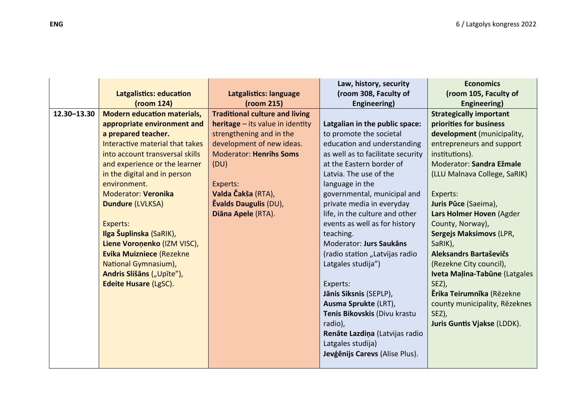|             | <b>Latgalistics: education</b><br>(room 124) | Latgalistics: language<br>(room 215)      | Law, history, security<br>(room 308, Faculty of<br>Engineering) | <b>Economics</b><br>(room 105, Faculty of<br>Engineering) |
|-------------|----------------------------------------------|-------------------------------------------|-----------------------------------------------------------------|-----------------------------------------------------------|
| 12.30-13.30 | <b>Modern education materials,</b>           | <b>Traditional culture and living</b>     |                                                                 | <b>Strategically important</b>                            |
|             | appropriate environment and                  | <b>heritage</b> $-$ its value in identity | Latgalian in the public space:                                  | priorities for business                                   |
|             | a prepared teacher.                          | strengthening and in the                  | to promote the societal                                         | development (municipality,                                |
|             | Interactive material that takes              | development of new ideas.                 | education and understanding                                     | entrepreneurs and support                                 |
|             | into account transversal skills              | <b>Moderator: Henrihs Soms</b>            | as well as to facilitate security                               | institutions).                                            |
|             | and experience or the learner                | (DU)                                      | at the Eastern border of                                        | Moderator: Sandra Ežmale                                  |
|             | in the digital and in person                 |                                           | Latvia. The use of the                                          | (LLU Malnava College, SaRIK)                              |
|             | environment.                                 | Experts:                                  | language in the                                                 |                                                           |
|             | <b>Moderator: Veronika</b>                   | Valda Čakša (RTA),                        | governmental, municipal and                                     | Experts:                                                  |
|             | <b>Dundure (LVLKSA)</b>                      | <b>Evalds Daugulis (DU),</b>              | private media in everyday                                       | Juris Pūce (Saeima),                                      |
|             |                                              | Diāna Apele (RTA).                        | life, in the culture and other                                  | Lars Holmer Hoven (Agder                                  |
|             | Experts:                                     |                                           | events as well as for history                                   | County, Norway),                                          |
|             | Ilga Šuplinska (SaRIK),                      |                                           | teaching.                                                       | Sergejs Maksimovs (LPR,                                   |
|             | Liene Voroņenko (IZM VISC),                  |                                           | Moderator: Jurs Saukāns                                         | SaRIK),                                                   |
|             | <b>Evika Muizniece (Rezekne</b>              |                                           | (radio station "Latvijas radio                                  | Aleksandrs Bartaševičs                                    |
|             | National Gymnasium),                         |                                           | Latgales studija")                                              | (Rezekne City council),                                   |
|             | Andris Slišāns ("Upīte"),                    |                                           |                                                                 | Iveta Malina-Tabūne (Latgales                             |
|             | <b>Edeite Husare (LgSC).</b>                 |                                           | Experts:                                                        | SEZ),                                                     |
|             |                                              |                                           | Jānis Siksnis (SEPLP),                                          | <b>Ērika Teirumnīka</b> (Rēzekne                          |
|             |                                              |                                           | Ausma Sprukte (LRT),                                            | county municipality, Rēzeknes                             |
|             |                                              |                                           | Tenis Bikovskis (Divu krastu                                    | SEZ),                                                     |
|             |                                              |                                           | radio),                                                         | <b>Juris Guntis Vjakse (LDDK).</b>                        |
|             |                                              |                                           | Renāte Lazdiņa (Latvijas radio                                  |                                                           |
|             |                                              |                                           | Latgales studija)                                               |                                                           |
|             |                                              |                                           | Jevģēnijs Carevs (Alise Plus).                                  |                                                           |
|             |                                              |                                           |                                                                 |                                                           |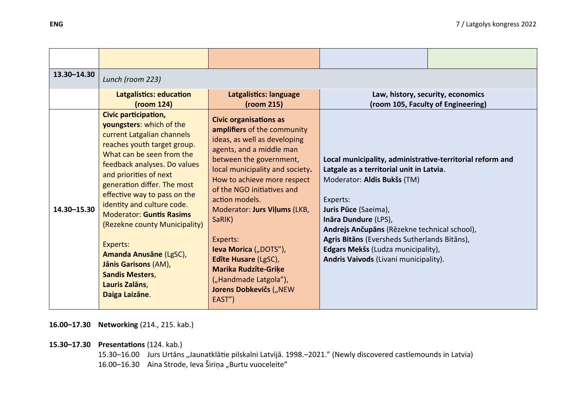| 13.30-14.30 | Lunch (room 223)                                                                                                                                                                                                                                                                                                                                                                                                                                                                                  |                                                                                                                                                                                                                                                                                                                                                                                                                                                                          |                                                                                                                                                                                                                                                                                                                                                                                                                       |  |
|-------------|---------------------------------------------------------------------------------------------------------------------------------------------------------------------------------------------------------------------------------------------------------------------------------------------------------------------------------------------------------------------------------------------------------------------------------------------------------------------------------------------------|--------------------------------------------------------------------------------------------------------------------------------------------------------------------------------------------------------------------------------------------------------------------------------------------------------------------------------------------------------------------------------------------------------------------------------------------------------------------------|-----------------------------------------------------------------------------------------------------------------------------------------------------------------------------------------------------------------------------------------------------------------------------------------------------------------------------------------------------------------------------------------------------------------------|--|
|             | Latgalistics: education<br>(room 124)                                                                                                                                                                                                                                                                                                                                                                                                                                                             | Latgalistics: language<br>(room 215)                                                                                                                                                                                                                                                                                                                                                                                                                                     | Law, history, security, economics                                                                                                                                                                                                                                                                                                                                                                                     |  |
| 14.30-15.30 | Civic participation,<br>youngsters: which of the<br>current Latgalian channels<br>reaches youth target group.<br>What can be seen from the<br>feedback analyses. Do values<br>and priorities of next<br>generation differ. The most<br>effective way to pass on the<br>identity and culture code.<br><b>Moderator: Guntis Rasims</b><br>(Rezekne county Municipality)<br>Experts:<br>Amanda Anusāne (LgSC),<br>Jānis Garisons (AM),<br><b>Sandis Mesters,</b><br>Lauris Zalāns,<br>Daiga Laizāne. | <b>Civic organisations as</b><br>amplifiers of the community<br>ideas, as well as developing<br>agents, and a middle man<br>between the government,<br>local municipality and society.<br>How to achieve more respect<br>of the NGO initiatives and<br>action models.<br>Moderator: Jurs Viļums (LKB,<br>SaRIK)<br>Experts:<br>Ieva Morica ("DOTS"),<br>Edite Husare (LgSC),<br><b>Marika Rudzīte-Griķe</b><br>("Handmade Latgola"),<br>Jorens Dobkevičs ("NEW<br>EAST") | (room 105, Faculty of Engineering)<br>Local municipality, administrative-territorial reform and<br>Latgale as a territorial unit in Latvia.<br>Moderator: Aldis Bukšs (TM)<br>Experts:<br>Juris Pūce (Saeima),<br>Ināra Dundure (LPS),<br>Andrejs Ančupāns (Rēzekne technical school),<br>Agris Bitāns (Eversheds Sutherlands Bitāns),<br>Edgars Mekšs (Ludza municipality),<br>Andris Vaivods (Livani municipality). |  |

**16.00–17.30 Networking** (214., 215. kab.)

**15.30–17.30 Presentations** (124. kab.)

15.30–16.00 Jurs Urtāns "Jaunatklātie pilskalni Latvijā. 1998.–2021." (Newly discovered castlemounds in Latvia) 16.00–16.30 Aina Strode, Ieva Širiņa "Burtu vuoceleite"